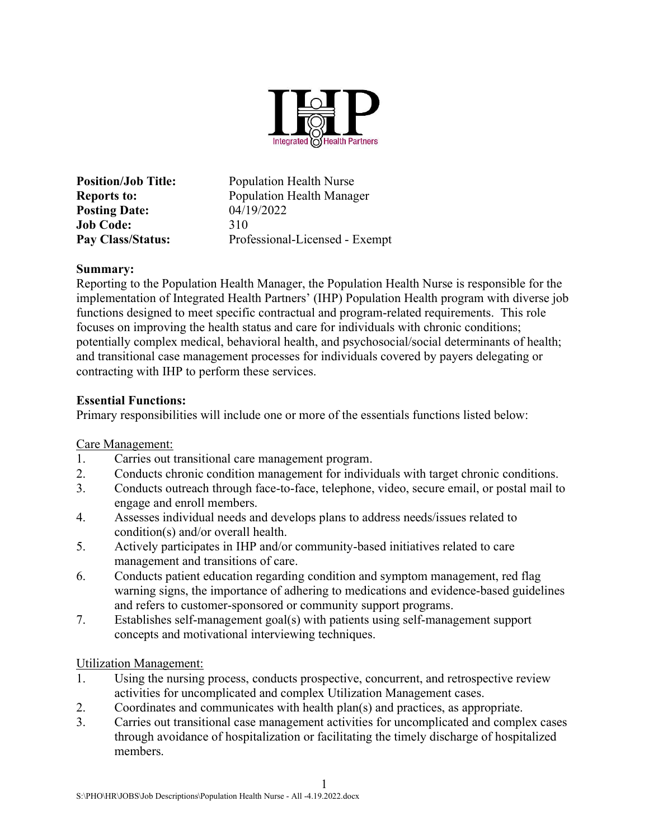

Position/Job Title: Population Health Nurse Reports to: Population Health Manager **Posting Date:** 04/19/2022 Job Code: 310 Pay Class/Status: Professional-Licensed - Exempt

### Summary:

Reporting to the Population Health Manager, the Population Health Nurse is responsible for the implementation of Integrated Health Partners' (IHP) Population Health program with diverse job functions designed to meet specific contractual and program-related requirements. This role focuses on improving the health status and care for individuals with chronic conditions; potentially complex medical, behavioral health, and psychosocial/social determinants of health; and transitional case management processes for individuals covered by payers delegating or contracting with IHP to perform these services.

## Essential Functions:

Primary responsibilities will include one or more of the essentials functions listed below:

Care Management:

- 1. Carries out transitional care management program.
- 2. Conducts chronic condition management for individuals with target chronic conditions.
- 3. Conducts outreach through face-to-face, telephone, video, secure email, or postal mail to engage and enroll members.
- 4. Assesses individual needs and develops plans to address needs/issues related to condition(s) and/or overall health.
- 5. Actively participates in IHP and/or community-based initiatives related to care management and transitions of care.
- 6. Conducts patient education regarding condition and symptom management, red flag warning signs, the importance of adhering to medications and evidence-based guidelines and refers to customer-sponsored or community support programs.
- 7. Establishes self-management goal(s) with patients using self-management support concepts and motivational interviewing techniques.

Utilization Management:

- 1. Using the nursing process, conducts prospective, concurrent, and retrospective review activities for uncomplicated and complex Utilization Management cases.
- 2. Coordinates and communicates with health plan(s) and practices, as appropriate.
- 3. Carries out transitional case management activities for uncomplicated and complex cases through avoidance of hospitalization or facilitating the timely discharge of hospitalized members.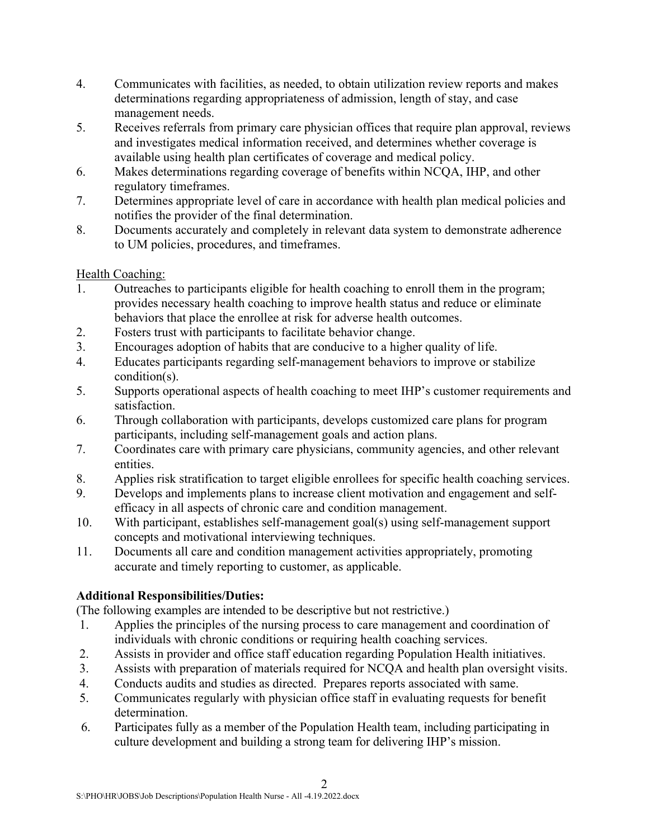- 4. Communicates with facilities, as needed, to obtain utilization review reports and makes determinations regarding appropriateness of admission, length of stay, and case management needs.
- 5. Receives referrals from primary care physician offices that require plan approval, reviews and investigates medical information received, and determines whether coverage is available using health plan certificates of coverage and medical policy.
- 6. Makes determinations regarding coverage of benefits within NCQA, IHP, and other regulatory timeframes.
- 7. Determines appropriate level of care in accordance with health plan medical policies and notifies the provider of the final determination.
- 8. Documents accurately and completely in relevant data system to demonstrate adherence to UM policies, procedures, and timeframes.

Health Coaching:

- 1. Outreaches to participants eligible for health coaching to enroll them in the program; provides necessary health coaching to improve health status and reduce or eliminate behaviors that place the enrollee at risk for adverse health outcomes.
- 2. Fosters trust with participants to facilitate behavior change.
- 3. Encourages adoption of habits that are conducive to a higher quality of life.
- 4. Educates participants regarding self-management behaviors to improve or stabilize condition(s).
- 5. Supports operational aspects of health coaching to meet IHP's customer requirements and satisfaction.
- 6. Through collaboration with participants, develops customized care plans for program participants, including self-management goals and action plans.
- 7. Coordinates care with primary care physicians, community agencies, and other relevant entities.
- 8. Applies risk stratification to target eligible enrollees for specific health coaching services.
- 9. Develops and implements plans to increase client motivation and engagement and selfefficacy in all aspects of chronic care and condition management.
- 10. With participant, establishes self-management goal(s) using self-management support concepts and motivational interviewing techniques.
- 11. Documents all care and condition management activities appropriately, promoting accurate and timely reporting to customer, as applicable.

# Additional Responsibilities/Duties:

(The following examples are intended to be descriptive but not restrictive.)

- 1. Applies the principles of the nursing process to care management and coordination of individuals with chronic conditions or requiring health coaching services.
- 2. Assists in provider and office staff education regarding Population Health initiatives.
- 3. Assists with preparation of materials required for NCQA and health plan oversight visits.
- 4. Conducts audits and studies as directed. Prepares reports associated with same.
- 5. Communicates regularly with physician office staff in evaluating requests for benefit determination.
- 6. Participates fully as a member of the Population Health team, including participating in culture development and building a strong team for delivering IHP's mission.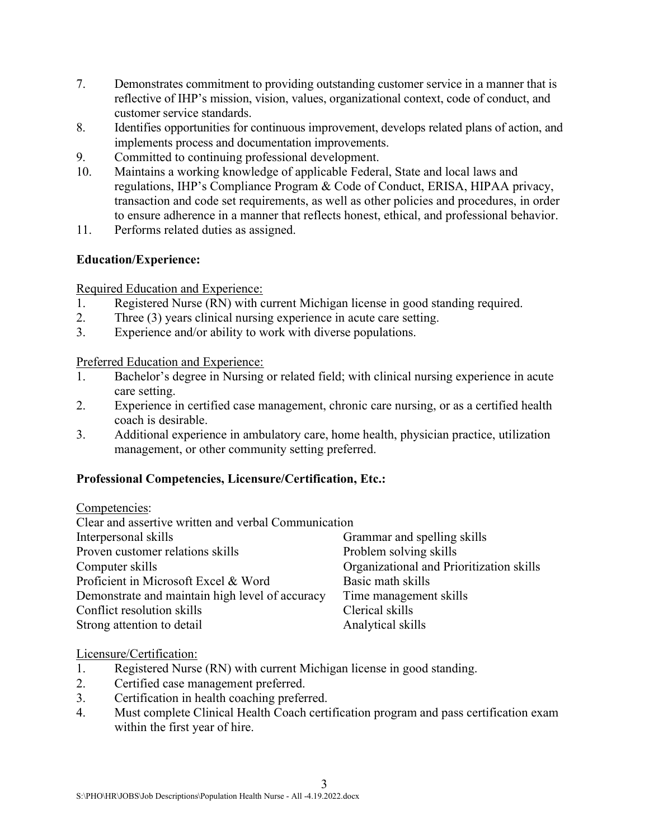- 7. Demonstrates commitment to providing outstanding customer service in a manner that is reflective of IHP's mission, vision, values, organizational context, code of conduct, and customer service standards.
- 8. Identifies opportunities for continuous improvement, develops related plans of action, and implements process and documentation improvements.
- 9. Committed to continuing professional development.
- 10. Maintains a working knowledge of applicable Federal, State and local laws and regulations, IHP's Compliance Program & Code of Conduct, ERISA, HIPAA privacy, transaction and code set requirements, as well as other policies and procedures, in order to ensure adherence in a manner that reflects honest, ethical, and professional behavior.
- 11. Performs related duties as assigned.

## Education/Experience:

Required Education and Experience:

- 1. Registered Nurse (RN) with current Michigan license in good standing required.
- 2. Three (3) years clinical nursing experience in acute care setting.
- 3. Experience and/or ability to work with diverse populations.

Preferred Education and Experience:

- 1. Bachelor's degree in Nursing or related field; with clinical nursing experience in acute care setting.
- 2. Experience in certified case management, chronic care nursing, or as a certified health coach is desirable.
- 3. Additional experience in ambulatory care, home health, physician practice, utilization management, or other community setting preferred.

#### Professional Competencies, Licensure/Certification, Etc.:

Competencies:

| Clear and assertive written and verbal Communication |                                          |
|------------------------------------------------------|------------------------------------------|
| Interpersonal skills                                 | Grammar and spelling skills              |
| Proven customer relations skills                     | Problem solving skills                   |
| Computer skills                                      | Organizational and Prioritization skills |
| Proficient in Microsoft Excel & Word                 | Basic math skills                        |
| Demonstrate and maintain high level of accuracy      | Time management skills                   |
| Conflict resolution skills                           | Clerical skills                          |
| Strong attention to detail                           | Analytical skills                        |

#### Licensure/Certification:

- 1. Registered Nurse (RN) with current Michigan license in good standing.
- 2. Certified case management preferred.
- 3. Certification in health coaching preferred.
- 4. Must complete Clinical Health Coach certification program and pass certification exam within the first year of hire.